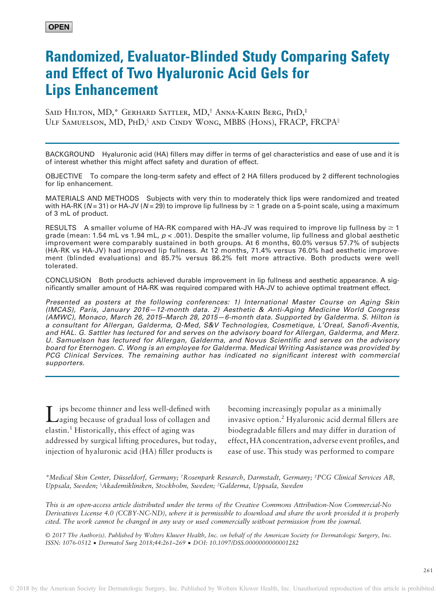# Randomized, Evaluator-Blinded Study Comparing Safety and Effect of Two Hyaluronic Acid Gels for Lips Enhancement

Said Hilton, MD,\* Gerhard Sattler, MD,† Anna-Karin Berg, PhD,‡ ULF SAMUELSON, MD, PHD,<sup>§</sup> AND CINDY WONG, MBBS (HONS), FRACP, FRCPA<sup>II</sup>

BACKGROUND Hyaluronic acid (HA) fillers may differ in terms of gel characteristics and ease of use and it is of interest whether this might affect safety and duration of effect.

OBJECTIVE To compare the long-term safety and effect of 2 HA fillers produced by 2 different technologies for lip enhancement.

MATERIALS AND METHODS Subjects with very thin to moderately thick lips were randomized and treated with HA-RK (N = 31) or HA-JV (N = 29) to improve lip fullness by  $\geq 1$  grade on a 5-point scale, using a maximum of 3 mL of product.

RESULTS A smaller volume of HA-RK compared with HA-JV was required to improve lip fullness by  $\geq 1$ grade (mean: 1.54 mL vs 1.94 mL,  $p < .001$ ). Despite the smaller volume, lip fullness and global aesthetic improvement were comparably sustained in both groups. At 6 months, 60.0% versus 57.7% of subjects (HA-RK vs HA-JV) had improved lip fullness. At 12 months, 71.4% versus 76.0% had aesthetic improvement (blinded evaluations) and 85.7% versus 86.2% felt more attractive. Both products were well tolerated.

CONCLUSION Both products achieved durable improvement in lip fullness and aesthetic appearance. A significantly smaller amount of HA-RK was required compared with HA-JV to achieve optimal treatment effect.

Presented as posters at the following conferences: 1) International Master Course on Aging Skin (IMCAS), Paris, January 2016—12-month data. 2) Aesthetic & Anti-Aging Medicine World Congress (AMWC), Monaco, March 26, 2015–March 28, 2015—6-month data. Supported by Galderma. S. Hilton is a consultant for Allergan, Galderma, Q-Med, S&V Technologies, Cosmetique, L'Oreal, Sanofi-Aventis, and HAL. G. Sattler has lectured for and serves on the advisory board for Allergan, Galderma, and Merz. U. Samuelson has lectured for Allergan, Galderma, and Novus Scientific and serves on the advisory board for Eternogen. C. Wong is an employee for Galderma. Medical Writing Assistance was provided by PCG Clinical Services. The remaining author has indicated no significant interest with commercial supporters.

Lips become thinner and less well-defined with aging because of gradual loss of collagen and elastin.<sup>1</sup> Historically, this effect of aging was addressed by surgical lifting procedures, but today, injection of hyaluronic acid (HA) filler products is

becoming increasingly popular as a minimally invasive option.<sup>2</sup> Hyaluronic acid dermal fillers are biodegradable fillers and may differ in duration of effect, HA concentration, adverse event profiles, and ease of use. This study was performed to compare

\*Medical Skin Center, Düsseldorf, Germany; † Rosenpark Research, Darmstadt, Germany; ‡ PCG Clinical Services AB, Uppsala, Sweden; §Akademikliniken, Stockholm, Sweden; "Galderma, Uppsala, Sweden

This is an open-access article distributed under the terms of the Creative Commons Attribution-Non Commercial-No Derivatives License 4.0 (CCBY-NC-ND), where it is permissible to download and share the work provided it is properly cited. The work cannot be changed in any way or used commercially without permission from the journal.

© 2017 The Author(s). Published by Wolters Kluwer Health, Inc. on behalf of the American Society for Dermatologic Surgery, Inc. ISSN: 1076-0512 · Dermatol Surg 2018;44:261–<sup>269</sup> · DOI: 10.1097/DSS.0000000000001282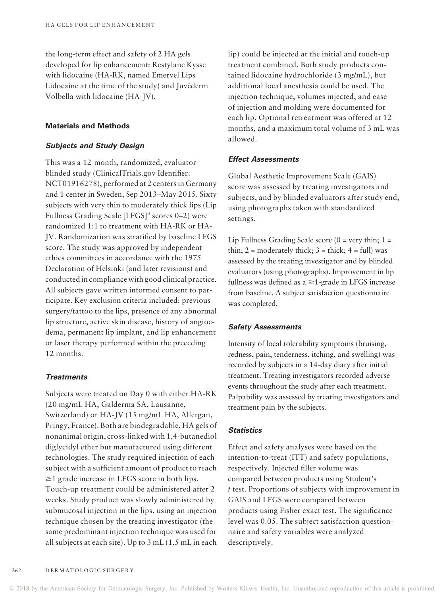the long-term effect and safety of 2 HA gels developed for lip enhancement: Restylane Kysse with lidocaine (HA-RK, named Emervel Lips Lidocaine at the time of the study) and Juvéderm Volbella with lidocaine (HA-JV).

## Materials and Methods

## Subjects and Study Design

This was a 12-month, randomized, evaluatorblinded study (ClinicalTrials.gov Identifier: NCT01916278), performed at 2 centers in Germany and 1 center in Sweden, Sep 2013–May 2015. Sixty subjects with very thin to moderately thick lips (Lip Fullness Grading Scale  $[LFGS]$ <sup>3</sup> scores 0–2) were randomized 1:1 to treatment with HA-RK or HA-JV. Randomization was stratified by baseline LFGS score. The study was approved by independent ethics committees in accordance with the 1975 Declaration of Helsinki (and later revisions) and conducted in compliance with good clinical practice. All subjects gave written informed consent to participate. Key exclusion criteria included: previous surgery/tattoo to the lips, presence of any abnormal lip structure, active skin disease, history of angioedema, permanent lip implant, and lip enhancement or laser therapy performed within the preceding 12 months.

# **Treatments**

Subjects were treated on Day 0 with either HA-RK (20 mg/mL HA, Galderma SA, Lausanne, Switzerland) or HA-JV (15 mg/mL HA, Allergan, Pringy, France). Both are biodegradable, HA gels of nonanimal origin, cross-linked with 1,4-butanediol diglycidyl ether but manufactured using different technologies. The study required injection of each subject with a sufficient amount of product to reach  $\geq$ 1 grade increase in LFGS score in both lips. Touch-up treatment could be administered after 2 weeks. Study product was slowly administered by submucosal injection in the lips, using an injection technique chosen by the treating investigator (the same predominant injection technique was used for all subjects at each site). Up to 3 mL (1.5 mL in each lip) could be injected at the initial and touch-up treatment combined. Both study products contained lidocaine hydrochloride (3 mg/mL), but additional local anesthesia could be used. The injection technique, volumes injected, and ease of injection and molding were documented for each lip. Optional retreatment was offered at 12 months, and a maximum total volume of 3 mL was allowed.

## Effect Assessments

Global Aesthetic Improvement Scale (GAIS) score was assessed by treating investigators and subjects, and by blinded evaluators after study end, using photographs taken with standardized settings.

Lip Fullness Grading Scale score  $(0 = \text{very thin}; 1 =$ thin;  $2 =$  moderately thick;  $3 =$  thick;  $4 =$  full) was assessed by the treating investigator and by blinded evaluators (using photographs). Improvement in lip fullness was defined as  $a \geq 1$ -grade in LFGS increase from baseline. A subject satisfaction questionnaire was completed.

#### Safety Assessments

Intensity of local tolerability symptoms (bruising, redness, pain, tenderness, itching, and swelling) was recorded by subjects in a 14-day diary after initial treatment. Treating investigators recorded adverse events throughout the study after each treatment. Palpability was assessed by treating investigators and treatment pain by the subjects.

## **Statistics**

Effect and safety analyses were based on the intention-to-treat (ITT) and safety populations, respectively. Injected filler volume was compared between products using Student's t test. Proportions of subjects with improvement in GAIS and LFGS were compared between products using Fisher exact test. The significance level was 0.05. The subject satisfaction questionnaire and safety variables were analyzed descriptively.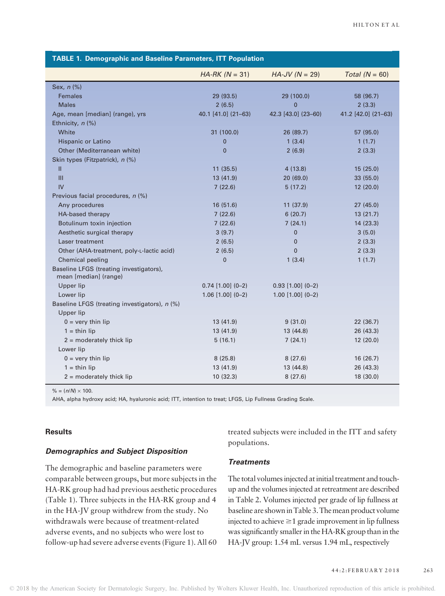| <b>TABLE 1. Demographic and Baseline Parameters, ITT Population</b> |                     |                         |                     |  |  |  |  |  |
|---------------------------------------------------------------------|---------------------|-------------------------|---------------------|--|--|--|--|--|
|                                                                     | $HA-RK (N = 31)$    | $HA$ -JV (N = 29)       | Total $(N = 60)$    |  |  |  |  |  |
| Sex, $n$ $%$                                                        |                     |                         |                     |  |  |  |  |  |
| <b>Females</b>                                                      | 29 (93.5)           | 29 (100.0)              | 58 (96.7)           |  |  |  |  |  |
| <b>Males</b>                                                        | 2(6.5)              | $\overline{0}$          | 2(3.3)              |  |  |  |  |  |
| Age, mean [median] (range), yrs                                     | 40.1 [41.0] (21-63) | 42.3 [43.0] (23-60)     | 41.2 [42.0] (21-63) |  |  |  |  |  |
| Ethnicity, $n$ (%)                                                  |                     |                         |                     |  |  |  |  |  |
| White                                                               | 31 (100.0)          | 26 (89.7)               | 57 (95.0)           |  |  |  |  |  |
| Hispanic or Latino                                                  | $\overline{0}$      | 1(3.4)                  | 1(1.7)              |  |  |  |  |  |
| Other (Mediterranean white)                                         | $\overline{0}$      | 2(6.9)                  | 2(3.3)              |  |  |  |  |  |
| Skin types (Fitzpatrick), n (%)                                     |                     |                         |                     |  |  |  |  |  |
| Ш                                                                   | 11(35.5)            | 4(13.8)                 | 15(25.0)            |  |  |  |  |  |
| III                                                                 | 13(41.9)            | 20(69.0)                | 33(55.0)            |  |  |  |  |  |
| IV                                                                  | 7(22.6)             | 5(17.2)                 | 12(20.0)            |  |  |  |  |  |
| Previous facial procedures, n (%)                                   |                     |                         |                     |  |  |  |  |  |
| Any procedures                                                      | 16(51.6)            | 11(37.9)                | 27(45.0)            |  |  |  |  |  |
| HA-based therapy                                                    | 7(22.6)             | 6(20.7)                 | 13(21.7)            |  |  |  |  |  |
| Botulinum toxin injection                                           | 7(22.6)             | 7(24.1)                 | 14(23.3)            |  |  |  |  |  |
| Aesthetic surgical therapy                                          | 3(9.7)              | $\overline{0}$          | 3(5.0)              |  |  |  |  |  |
| Laser treatment                                                     | 2(6.5)              | $\mathbf{0}$            | 2(3.3)              |  |  |  |  |  |
| Other (AHA-treatment, poly-L-lactic acid)                           | 2(6.5)              | $\Omega$                | 2(3.3)              |  |  |  |  |  |
| Chemical peeling                                                    | $\mathbf{0}$        | 1(3.4)                  | 1(1.7)              |  |  |  |  |  |
| Baseline LFGS (treating investigators),<br>mean [median] (range)    |                     |                         |                     |  |  |  |  |  |
| Upper lip                                                           | $0.74$ [1.00] (0-2) | $0.93$ [1.00] (0-2)     |                     |  |  |  |  |  |
| Lower lip                                                           | $1.06$ [1.00] (0-2) | $1.00$ $[1.00]$ $(0-2)$ |                     |  |  |  |  |  |
| Baseline LFGS (treating investigators), n (%)                       |                     |                         |                     |  |  |  |  |  |
| Upper lip                                                           |                     |                         |                     |  |  |  |  |  |
| $0 = \text{very thin lip}$                                          | 13(41.9)            | 9(31.0)                 | 22(36.7)            |  |  |  |  |  |
| $1 = \text{thin lip}$                                               | 13(41.9)            | 13(44.8)                | 26 (43.3)           |  |  |  |  |  |
| $2 =$ moderately thick lip                                          | 5(16.1)             | 7(24.1)                 | 12(20.0)            |  |  |  |  |  |
| Lower lip                                                           |                     |                         |                     |  |  |  |  |  |
| $0 = \text{very thin lip}$                                          | 8(25.8)             | 8(27.6)                 | 16 (26.7)           |  |  |  |  |  |
| $1 = \text{thin}$ lip                                               | 13 (41.9)           | 13 (44.8)               | 26(43.3)            |  |  |  |  |  |
| $2 =$ moderately thick lip                                          | 10(32.3)            | 8(27.6)                 | 18 (30.0)           |  |  |  |  |  |

 $% = (n/N) \times 100$ .

AHA, alpha hydroxy acid; HA, hyaluronic acid; ITT, intention to treat; LFGS, Lip Fullness Grading Scale.

## **Results**

## Demographics and Subject Disposition

The demographic and baseline parameters were comparable between groups, but more subjects in the HA-RK group had had previous aesthetic procedures (Table 1). Three subjects in the HA-RK group and 4 in the HA-JV group withdrew from the study. No withdrawals were because of treatment-related adverse events, and no subjects who were lost to follow-up had severe adverse events (Figure 1). All 60 treated subjects were included in the ITT and safety populations.

## **Treatments**

The total volumes injected at initial treatment and touchup and the volumes injected at retreatment are described in Table 2. Volumes injected per grade of lip fullness at baseline are shownin Table 3. Themean product volume injected to achieve  $\geq 1$  grade improvement in lip fullness was significantly smaller in the HA-RK group than in the HA-JV group: 1.54 mL versus 1.94 mL, respectively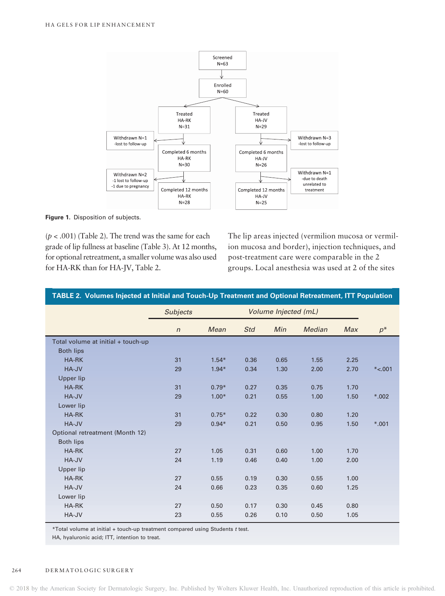

Figure 1. Disposition of subjects.

 $(p < .001)$  (Table 2). The trend was the same for each grade of lip fullness at baseline (Table 3). At 12 months, for optional retreatment, a smaller volume was also used for HA-RK than for HA-JV, Table 2.

The lip areas injected (vermilion mucosa or vermilion mucosa and border), injection techniques, and post-treatment care were comparable in the 2 groups. Local anesthesia was used at 2 of the sites

| TABLE 2. Volumes Injected at Initial and Touch-Up Treatment and Optional Retreatment, ITT Population |                 |                      |      |      |        |            |          |
|------------------------------------------------------------------------------------------------------|-----------------|----------------------|------|------|--------|------------|----------|
|                                                                                                      | <b>Subjects</b> | Volume Injected (mL) |      |      |        |            |          |
|                                                                                                      | $\sqrt{n}$      | Mean                 | Std  | Min  | Median | <b>Max</b> | $p^*$    |
| Total volume at initial + touch-up                                                                   |                 |                      |      |      |        |            |          |
| <b>Both lips</b>                                                                                     |                 |                      |      |      |        |            |          |
| HA-RK                                                                                                | 31              | $1.54*$              | 0.36 | 0.65 | 1.55   | 2.25       |          |
| HA-JV                                                                                                | 29              | $1.94*$              | 0.34 | 1.30 | 2.00   | 2.70       | $*<.001$ |
| <b>Upper lip</b>                                                                                     |                 |                      |      |      |        |            |          |
| <b>HA-RK</b>                                                                                         | 31              | $0.79*$              | 0.27 | 0.35 | 0.75   | 1.70       |          |
| HA-JV                                                                                                | 29              | $1.00*$              | 0.21 | 0.55 | 1.00   | 1.50       | $*002$   |
| Lower lip                                                                                            |                 |                      |      |      |        |            |          |
| HA-RK                                                                                                | 31              | $0.75*$              | 0.22 | 0.30 | 0.80   | 1.20       |          |
| HA-JV                                                                                                | 29              | $0.94*$              | 0.21 | 0.50 | 0.95   | 1.50       | $*001$   |
| Optional retreatment (Month 12)                                                                      |                 |                      |      |      |        |            |          |
| <b>Both lips</b>                                                                                     |                 |                      |      |      |        |            |          |
| <b>HA-RK</b>                                                                                         | 27              | 1.05                 | 0.31 | 0.60 | 1.00   | 1.70       |          |
| HA-JV                                                                                                | 24              | 1.19                 | 0.46 | 0.40 | 1.00   | 2.00       |          |
| Upper lip                                                                                            |                 |                      |      |      |        |            |          |
| <b>HA-RK</b>                                                                                         | 27              | 0.55                 | 0.19 | 0.30 | 0.55   | 1.00       |          |
| HA-JV                                                                                                | 24              | 0.66                 | 0.23 | 0.35 | 0.60   | 1.25       |          |
| Lower lip                                                                                            |                 |                      |      |      |        |            |          |
| HA-RK                                                                                                | 27              | 0.50                 | 0.17 | 0.30 | 0.45   | 0.80       |          |
| HA-JV                                                                                                | 23              | 0.55                 | 0.26 | 0.10 | 0.50   | 1.05       |          |

\*Total volume at initial + touch-up treatment compared using Students t test.

HA, hyaluronic acid; ITT, intention to treat.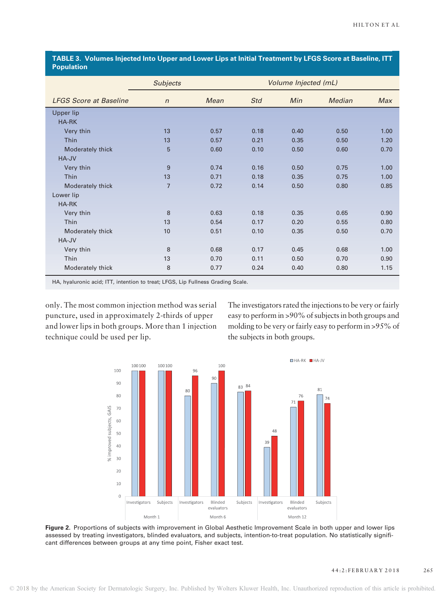| <b>1 opulation</b>            |                 |                      |            |      |               |            |
|-------------------------------|-----------------|----------------------|------------|------|---------------|------------|
|                               | <b>Subjects</b> | Volume Injected (mL) |            |      |               |            |
| <b>LFGS Score at Baseline</b> | $\sqrt{n}$      | Mean                 | <b>Std</b> | Min  | <b>Median</b> | <b>Max</b> |
| Upper lip                     |                 |                      |            |      |               |            |
| <b>HA-RK</b>                  |                 |                      |            |      |               |            |
| Very thin                     | 13              | 0.57                 | 0.18       | 0.40 | 0.50          | 1.00       |
| Thin                          | 13              | 0.57                 | 0.21       | 0.35 | 0.50          | 1.20       |
| Moderately thick              | 5               | 0.60                 | 0.10       | 0.50 | 0.60          | 0.70       |
| HA-JV                         |                 |                      |            |      |               |            |
| Very thin                     | 9               | 0.74                 | 0.16       | 0.50 | 0.75          | 1.00       |
| <b>Thin</b>                   | 13              | 0.71                 | 0.18       | 0.35 | 0.75          | 1.00       |
| Moderately thick              | $\overline{7}$  | 0.72                 | 0.14       | 0.50 | 0.80          | 0.85       |
| Lower lip                     |                 |                      |            |      |               |            |
| HA-RK                         |                 |                      |            |      |               |            |
| Very thin                     | 8               | 0.63                 | 0.18       | 0.35 | 0.65          | 0.90       |
| Thin                          | 13              | 0.54                 | 0.17       | 0.20 | 0.55          | 0.80       |
| Moderately thick              | 10              | 0.51                 | 0.10       | 0.35 | 0.50          | 0.70       |
| HA-JV                         |                 |                      |            |      |               |            |
| Very thin                     | 8               | 0.68                 | 0.17       | 0.45 | 0.68          | 1.00       |
| <b>Thin</b>                   | 13              | 0.70                 | 0.11       | 0.50 | 0.70          | 0.90       |
| Moderately thick              | 8               | 0.77                 | 0.24       | 0.40 | 0.80          | 1.15       |

TABLE 3. Volumes Injected Into Upper and Lower Lips at Initial Treatment by LFGS Score at Baseline, ITT Population

HA, hyaluronic acid; ITT, intention to treat; LFGS, Lip Fullness Grading Scale.

only. The most common injection method was serial puncture, used in approximately 2-thirds of upper and lower lips in both groups. More than 1 injection technique could be used per lip.

The investigators rated the injections to be very or fairly easy to perform in >90% of subjects in both groups and molding to be very or fairly easy to perform in >95% of the subjects in both groups.



Figure 2. Proportions of subjects with improvement in Global Aesthetic Improvement Scale in both upper and lower lips assessed by treating investigators, blinded evaluators, and subjects, intention-to-treat population. No statistically significant differences between groups at any time point, Fisher exact test.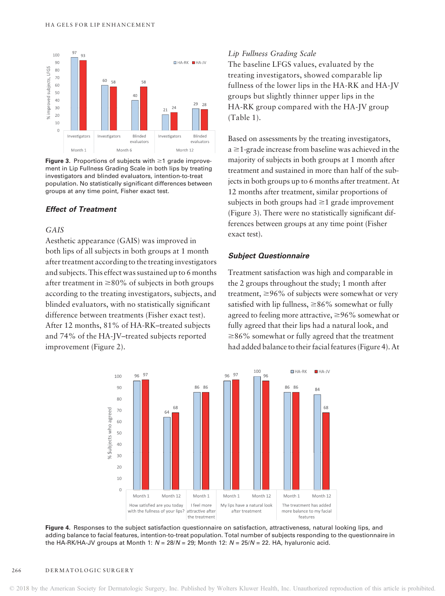

Figure 3. Proportions of subjects with  $\geq 1$  grade improvement in Lip Fullness Grading Scale in both lips by treating investigators and blinded evaluators, intention-to-treat population. No statistically significant differences between groups at any time point, Fisher exact test.

## Effect of Treatment

# GAIS

Aesthetic appearance (GAIS) was improved in both lips of all subjects in both groups at 1 month after treatment according to the treating investigators and subjects. This effect was sustained up to 6 months after treatment in  $\geq 80\%$  of subjects in both groups according to the treating investigators, subjects, and blinded evaluators, with no statistically significant difference between treatments (Fisher exact test). After 12 months, 81% of HA-RK–treated subjects and 74% of the HA-JV–treated subjects reported improvement (Figure 2).

## Lip Fullness Grading Scale

The baseline LFGS values, evaluated by the treating investigators, showed comparable lip fullness of the lower lips in the HA-RK and HA-JV groups but slightly thinner upper lips in the HA-RK group compared with the HA-JV group (Table 1).

Based on assessments by the treating investigators,  $a \geq 1$ -grade increase from baseline was achieved in the majority of subjects in both groups at 1 month after treatment and sustained in more than half of the subjects in both groups up to 6 months after treatment. At 12 months after treatment, similar proportions of subjects in both groups had  $\geq 1$  grade improvement (Figure 3). There were no statistically significant differences between groups at any time point (Fisher exact test).

#### Subject Questionnaire

Treatment satisfaction was high and comparable in the 2 groups throughout the study; 1 month after treatment,  $\geq$ 96% of subjects were somewhat or very satisfied with lip fullness,  $\geq$ 86% somewhat or fully agreed to feeling more attractive,  $\geq$ 96% somewhat or fully agreed that their lips had a natural look, and  $\geq$ 86% somewhat or fully agreed that the treatment had added balance to their facial features (Figure 4). At



Figure 4. Responses to the subject satisfaction questionnaire on satisfaction, attractiveness, natural looking lips, and adding balance to facial features, intention-to-treat population. Total number of subjects responding to the questionnaire in the HA-RK/HA-JV groups at Month 1:  $N = 28/N = 29$ ; Month 12:  $N = 25/N = 22$ . HA, hyaluronic acid.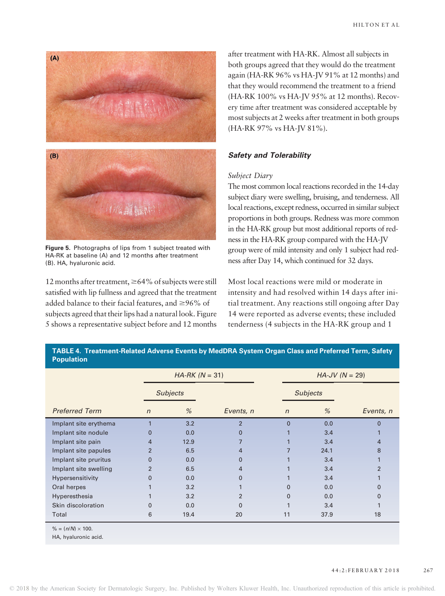

Figure 5. Photographs of lips from 1 subject treated with HA-RK at baseline (A) and 12 months after treatment (B). HA, hyaluronic acid.

12 months after treatment,  $\geq 64\%$  of subjects were still satisfied with lip fullness and agreed that the treatment added balance to their facial features, and  $\geq$ 96% of subjects agreed that their lips had a natural look. Figure 5 shows a representative subject before and 12 months

after treatment with HA-RK. Almost all subjects in both groups agreed that they would do the treatment again (HA-RK 96% vs HA-JV 91% at 12 months) and that they would recommend the treatment to a friend (HA-RK 100% vs HA-JV 95% at 12 months). Recovery time after treatment was considered acceptable by most subjects at 2 weeks after treatment in both groups (HA-RK 97% vs HA-JV 81%).

## Safety and Tolerability

## Subject Diary

The most common local reactions recorded in the 14-day subject diary were swelling, bruising, and tenderness. All local reactions, except redness, occurred in similar subject proportions in both groups. Redness was more common in the HA-RK group but most additional reports of redness in the HA-RK group compared with the HA-JV group were of mild intensity and only 1 subject had redness after Day 14, which continued for 32 days.

Most local reactions were mild or moderate in intensity and had resolved within 14 days after initial treatment. Any reactions still ongoing after Day 14 were reported as adverse events; these included tenderness (4 subjects in the HA-RK group and 1

| <b>Population</b>     |                |                  |                |                 |                  |                |  |  |  |
|-----------------------|----------------|------------------|----------------|-----------------|------------------|----------------|--|--|--|
|                       |                | $HA-RK (N = 31)$ |                |                 | $HA-JV (N = 29)$ |                |  |  |  |
|                       |                | <b>Subjects</b>  |                | <b>Subjects</b> |                  |                |  |  |  |
| <b>Preferred Term</b> | $\mathsf{n}$   | %                | Events, n      | $\mathsf{n}$    | %                | Events, n      |  |  |  |
| Implant site erythema |                | 3.2              | $\overline{2}$ | 0               | 0.0              | $\Omega$       |  |  |  |
| Implant site nodule   | 0              | 0.0              |                |                 | 3.4              |                |  |  |  |
| Implant site pain     | 4              | 12.9             |                |                 | 3.4              | 4              |  |  |  |
| Implant site papules  | $\overline{2}$ | 6.5              | 4              |                 | 24.1             | 8              |  |  |  |
| Implant site pruritus | $\overline{0}$ | 0.0              | 0              |                 | 3.4              |                |  |  |  |
| Implant site swelling | $\overline{2}$ | 6.5              | 4              |                 | 3.4              | $\overline{2}$ |  |  |  |
| Hypersensitivity      | 0              | 0.0              | 0              |                 | 3.4              |                |  |  |  |
| Oral herpes           |                | 3.2              |                | 0               | 0.0              | $\Omega$       |  |  |  |
| Hyperesthesia         |                | 3.2              | $\overline{2}$ | 0               | 0.0              | $\Omega$       |  |  |  |
| Skin discoloration    | $\Omega$       | 0.0              | O              |                 | 3.4              |                |  |  |  |
| Total                 | 6              | 19.4             | 20             | 11              | 37.9             | 18             |  |  |  |

TABLE 4. Treatment-Related Adverse Events by MedDRA System Organ Class and Preferred Term, Safety

 $% = (n/N) \times 100$ .

HA, hyaluronic acid.

#### 4 4: 2: FEBRUARY 2 0 1 8 267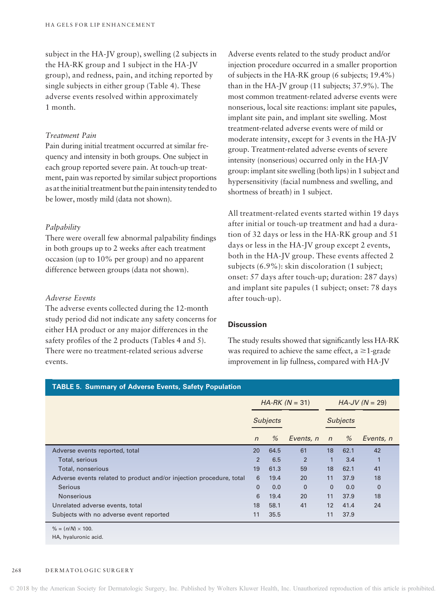subject in the HA-JV group), swelling (2 subjects in the HA-RK group and 1 subject in the HA-JV group), and redness, pain, and itching reported by single subjects in either group (Table 4). These adverse events resolved within approximately 1 month.

## Treatment Pain

Pain during initial treatment occurred at similar frequency and intensity in both groups. One subject in each group reported severe pain. At touch-up treatment, pain was reported by similar subject proportions as at the initial treatment but the painintensity tended to be lower, mostly mild (data not shown).

#### Palpability

There were overall few abnormal palpability findings in both groups up to 2 weeks after each treatment occasion (up to 10% per group) and no apparent difference between groups (data not shown).

# Adverse Events

The adverse events collected during the 12-month study period did not indicate any safety concerns for either HA product or any major differences in the safety profiles of the 2 products (Tables 4 and 5). There were no treatment-related serious adverse events.

Adverse events related to the study product and/or injection procedure occurred in a smaller proportion of subjects in the HA-RK group (6 subjects; 19.4%) than in the HA-JV group (11 subjects; 37.9%). The most common treatment-related adverse events were nonserious, local site reactions: implant site papules, implant site pain, and implant site swelling. Most treatment-related adverse events were of mild or moderate intensity, except for 3 events in the HA-JV group. Treatment-related adverse events of severe intensity (nonserious) occurred only in the HA-JV group: implant site swelling (both lips) in 1 subject and hypersensitivity (facial numbness and swelling, and shortness of breath) in 1 subject.

All treatment-related events started within 19 days after initial or touch-up treatment and had a duration of 32 days or less in the HA-RK group and 51 days or less in the HA-JV group except 2 events, both in the HA-JV group. These events affected 2 subjects (6.9%): skin discoloration (1 subject; onset: 57 days after touch-up; duration: 287 days) and implant site papules (1 subject; onset: 78 days after touch-up).

## **Discussion**

The study results showed that significantly less HA-RK was required to achieve the same effect,  $a \ge 1$ -grade improvement in lip fullness, compared with HA-JV

| <b>TABLE 5. Summary of Adverse Events, Safety Population</b>        |                  |      |                |                   |      |             |  |  |
|---------------------------------------------------------------------|------------------|------|----------------|-------------------|------|-------------|--|--|
|                                                                     | $HA-RK (N = 31)$ |      |                | $HA$ -JV (N = 29) |      |             |  |  |
|                                                                     | <b>Subjects</b>  |      |                | <b>Subjects</b>   |      |             |  |  |
|                                                                     | $\mathsf{n}$     | %    | Events, n      | $\sqrt{n}$        | %    | Events, n   |  |  |
| Adverse events reported, total                                      | 20               | 64.5 | 61             | 18                | 62.1 | 42          |  |  |
| Total, serious                                                      | 2                | 6.5  | $\overline{2}$ | 1                 | 3.4  | 1           |  |  |
| Total, nonserious                                                   | 19               | 61.3 | 59             | 18                | 62.1 | 41          |  |  |
| Adverse events related to product and/or injection procedure, total | 6                | 19.4 | 20             | 11                | 37.9 | 18          |  |  |
| <b>Serious</b>                                                      | $\Omega$         | 0.0  | $\Omega$       | $\mathbf{0}$      | 0.0  | $\mathbf 0$ |  |  |
| <b>Nonserious</b>                                                   | 6                | 19.4 | 20             | 11                | 37.9 | 18          |  |  |
| Unrelated adverse events, total                                     | 18               | 58.1 | 41             | 12                | 41.4 | 24          |  |  |
| Subjects with no adverse event reported                             | 11               | 35.5 |                | 11                | 37.9 |             |  |  |
| $% = (n/N) \times 100.$                                             |                  |      |                |                   |      |             |  |  |
| HA, hyaluronic acid.                                                |                  |      |                |                   |      |             |  |  |

## 268 DERMATOLOGIC SURGERY